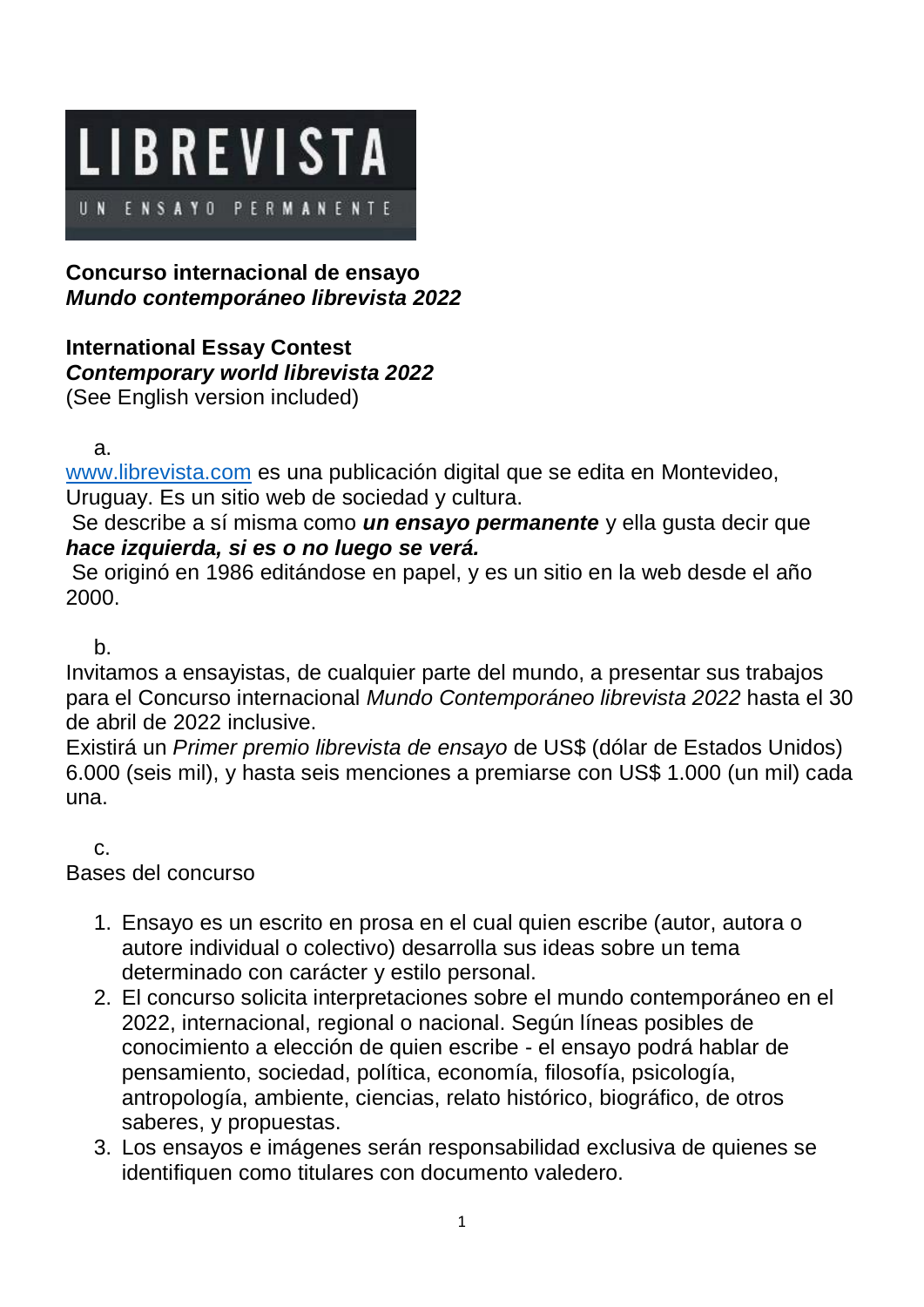

## **Concurso internacional de ensayo**  *Mundo contemporáneo librevista 2022*

## **International Essay Contest** *Contemporary world librevista 2022* (See English version included)

a.

[www.librevista.com](http://www.librevista.com/) es una publicación digital que se edita en Montevideo, Uruguay. Es un sitio web de sociedad y cultura.

Se describe a sí misma como *un ensayo permanente* y ella gusta decir que *hace izquierda, si es o no luego se verá.*

Se originó en 1986 editándose en papel, y es un sitio en la web desde el año 2000.

b.

Invitamos a ensayistas, de cualquier parte del mundo, a presentar sus trabajos para el Concurso internacional *Mundo Contemporáneo librevista 2022* hasta el 30 de abril de 2022 inclusive.

Existirá un *Primer premio librevista de ensayo* de US\$ (dólar de Estados Unidos) 6.000 (seis mil), y hasta seis menciones a premiarse con US\$ 1.000 (un mil) cada una.

c.

Bases del concurso

- 1. Ensayo es un escrito en prosa en el cual quien escribe (autor, autora o autore individual o colectivo) desarrolla sus ideas sobre un tema determinado con carácter y estilo personal.
- 2. El concurso solicita interpretaciones sobre el mundo contemporáneo en el 2022, internacional, regional o nacional. Según líneas posibles de conocimiento a elección de quien escribe - el ensayo podrá hablar de pensamiento, sociedad, política, economía, filosofía, psicología, antropología, ambiente, ciencias, relato histórico, biográfico, de otros saberes, y propuestas.
- 3. Los ensayos e imágenes serán responsabilidad exclusiva de quienes se identifiquen como titulares con documento valedero.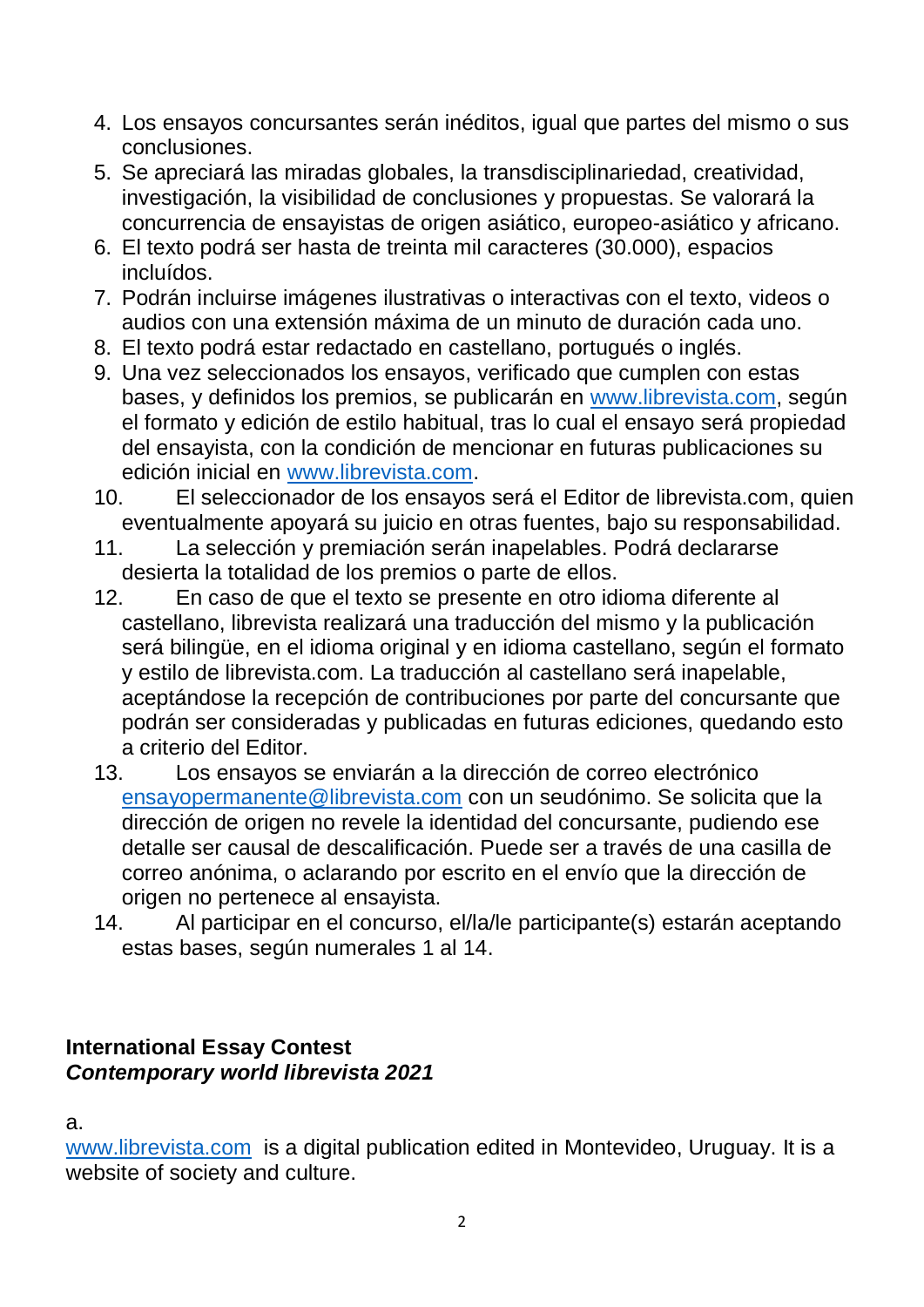- 4. Los ensayos concursantes serán inéditos, igual que partes del mismo o sus conclusiones.
- 5. Se apreciará las miradas globales, la transdisciplinariedad, creatividad, investigación, la visibilidad de conclusiones y propuestas. Se valorará la concurrencia de ensayistas de origen asiático, europeo-asiático y africano.
- 6. El texto podrá ser hasta de treinta mil caracteres (30.000), espacios incluídos.
- 7. Podrán incluirse imágenes ilustrativas o interactivas con el texto, videos o audios con una extensión máxima de un minuto de duración cada uno.
- 8. El texto podrá estar redactado en castellano, portugués o inglés.
- 9. Una vez seleccionados los ensayos, verificado que cumplen con estas bases, y definidos los premios, se publicarán en [www.librevista.com,](http://www.librevista.com/) según el formato y edición de estilo habitual, tras lo cual el ensayo será propiedad del ensayista, con la condición de mencionar en futuras publicaciones su edición inicial en [www.librevista.com.](http://www.librevista.com/)
- 10. El seleccionador de los ensayos será el Editor de librevista.com, quien eventualmente apoyará su juicio en otras fuentes, bajo su responsabilidad.
- 11. La selección y premiación serán inapelables. Podrá declararse desierta la totalidad de los premios o parte de ellos.
- 12. En caso de que el texto se presente en otro idioma diferente al castellano, librevista realizará una traducción del mismo y la publicación será bilingüe, en el idioma original y en idioma castellano, según el formato y estilo de librevista.com. La traducción al castellano será inapelable, aceptándose la recepción de contribuciones por parte del concursante que podrán ser consideradas y publicadas en futuras ediciones, quedando esto a criterio del Editor.
- 13. Los ensayos se enviarán a la dirección de correo electrónico [ensayopermanente@librevista.com](mailto:ensayopermanente@librevista.com) con un seudónimo. Se solicita que la dirección de origen no revele la identidad del concursante, pudiendo ese detalle ser causal de descalificación. Puede ser a través de una casilla de correo anónima, o aclarando por escrito en el envío que la dirección de origen no pertenece al ensayista.
- 14. Al participar en el concurso, el/la/le participante(s) estarán aceptando estas bases, según numerales 1 al 14.

## **International Essay Contest** *Contemporary world librevista 2021*

a.

[www.librevista.com](http://www.librevista.com/) is a digital publication edited in Montevideo, Uruguay. It is a website of society and culture.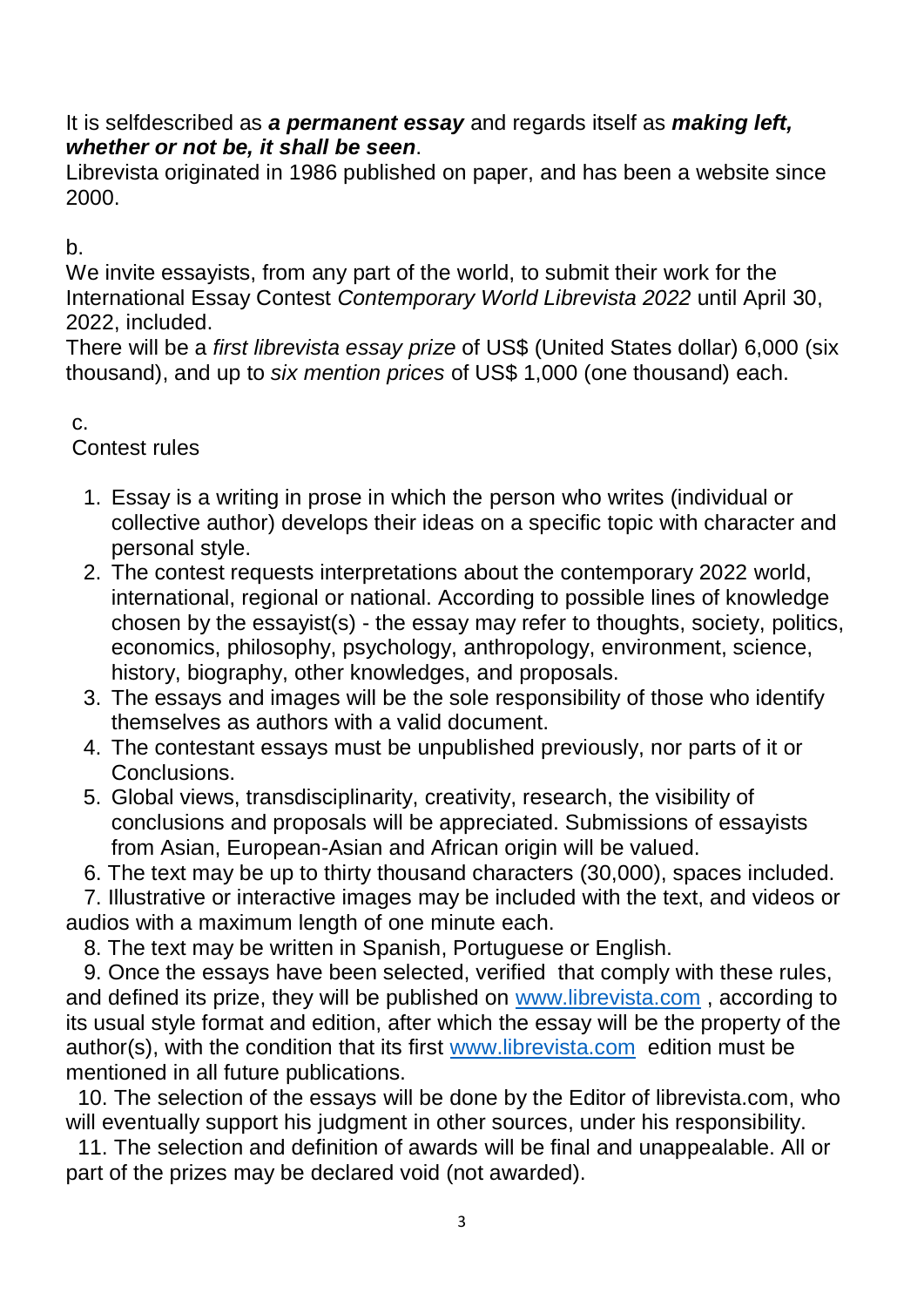It is selfdescribed as *a permanent essay* and regards itself as *making left, whether or not be, it shall be seen*.

Librevista originated in 1986 published on paper, and has been a website since 2000.

 $h<sub>1</sub>$ 

We invite essayists, from any part of the world, to submit their work for the International Essay Contest *Contemporary World Librevista 2022* until April 30, 2022, included.

There will be a *first librevista essay prize* of US\$ (United States dollar) 6,000 (six thousand), and up to *six mention prices* of US\$ 1,000 (one thousand) each.

c.

Contest rules

- 1. Essay is a writing in prose in which the person who writes (individual or collective author) develops their ideas on a specific topic with character and personal style.
- 2. The contest requests interpretations about the contemporary 2022 world, international, regional or national. According to possible lines of knowledge chosen by the essayist(s) - the essay may refer to thoughts, society, politics, economics, philosophy, psychology, anthropology, environment, science, history, biography, other knowledges, and proposals.
- 3. The essays and images will be the sole responsibility of those who identify themselves as authors with a valid document.
- 4. The contestant essays must be unpublished previously, nor parts of it or Conclusions.
- 5. Global views, transdisciplinarity, creativity, research, the visibility of conclusions and proposals will be appreciated. Submissions of essayists from Asian, European-Asian and African origin will be valued.
- 6. The text may be up to thirty thousand characters (30,000), spaces included.

 7. Illustrative or interactive images may be included with the text, and videos or audios with a maximum length of one minute each.

8. The text may be written in Spanish, Portuguese or English.

 9. Once the essays have been selected, verified that comply with these rules, and defined its prize, they will be published on [www.librevista.com](http://www.librevista.com/) , according to its usual style format and edition, after which the essay will be the property of the author(s), with the condition that its first [www.librevista.com](http://www.librevista.com/) edition must be mentioned in all future publications.

 10. The selection of the essays will be done by the Editor of librevista.com, who will eventually support his judgment in other sources, under his responsibility.

 11. The selection and definition of awards will be final and unappealable. All or part of the prizes may be declared void (not awarded).